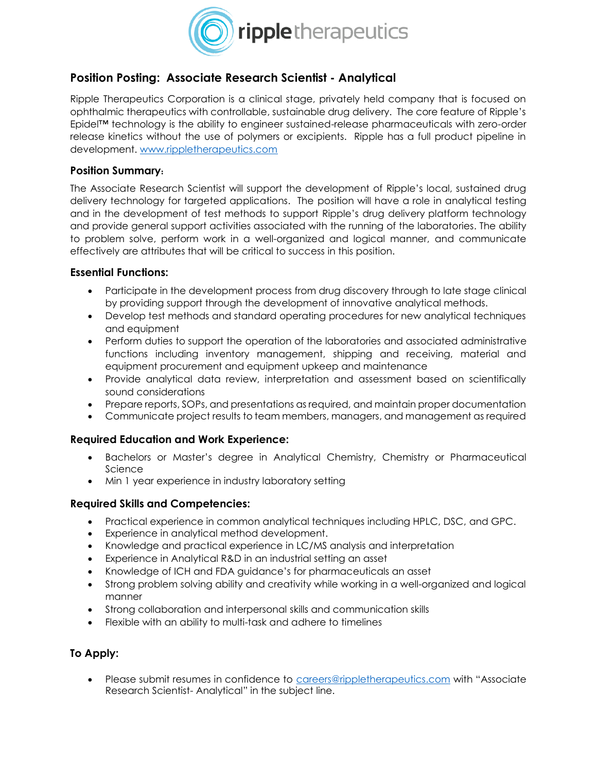

# **Position Posting: Associate Research Scientist - Analytical**

Ripple Therapeutics Corporation is a clinical stage, privately held company that is focused on ophthalmic therapeutics with controllable, sustainable drug delivery. The core feature of Ripple's Epidel™ technology is the ability to engineer sustained-release pharmaceuticals with zero-order release kinetics without the use of polymers or excipients. Ripple has a full product pipeline in development. [www.rippletherapeutics.com](http://www.rippletherapeutics.com/)

#### **Position Summary**:

The Associate Research Scientist will support the development of Ripple's local, sustained drug delivery technology for targeted applications. The position will have a role in analytical testing and in the development of test methods to support Ripple's drug delivery platform technology and provide general support activities associated with the running of the laboratories. The ability to problem solve, perform work in a well-organized and logical manner, and communicate effectively are attributes that will be critical to success in this position.

### **Essential Functions:**

- Participate in the development process from drug discovery through to late stage clinical by providing support through the development of innovative analytical methods.
- Develop test methods and standard operating procedures for new analytical techniques and equipment
- Perform duties to support the operation of the laboratories and associated administrative functions including inventory management, shipping and receiving, material and equipment procurement and equipment upkeep and maintenance
- Provide analytical data review, interpretation and assessment based on scientifically sound considerations
- Prepare reports, SOPs, and presentations as required, and maintain proper documentation
- Communicate project results to team members, managers, and management as required

## **Required Education and Work Experience:**

- Bachelors or Master's degree in Analytical Chemistry, Chemistry or Pharmaceutical **Science**
- Min 1 year experience in industry laboratory setting

#### **Required Skills and Competencies:**

- Practical experience in common analytical techniques including HPLC, DSC, and GPC.
- Experience in analytical method development.
- Knowledge and practical experience in LC/MS analysis and interpretation
- Experience in Analytical R&D in an industrial setting an asset
- Knowledge of ICH and FDA guidance's for pharmaceuticals an asset
- Strong problem solving ability and creativity while working in a well-organized and logical manner
- Strong collaboration and interpersonal skills and communication skills
- Flexible with an ability to multi-task and adhere to timelines

## **To Apply:**

• Please submit resumes in confidence to [careers@rippletherapeutics.com](mailto:careers@rippletherapeutics.com) with "Associate Research Scientist- Analytical" in the subject line.